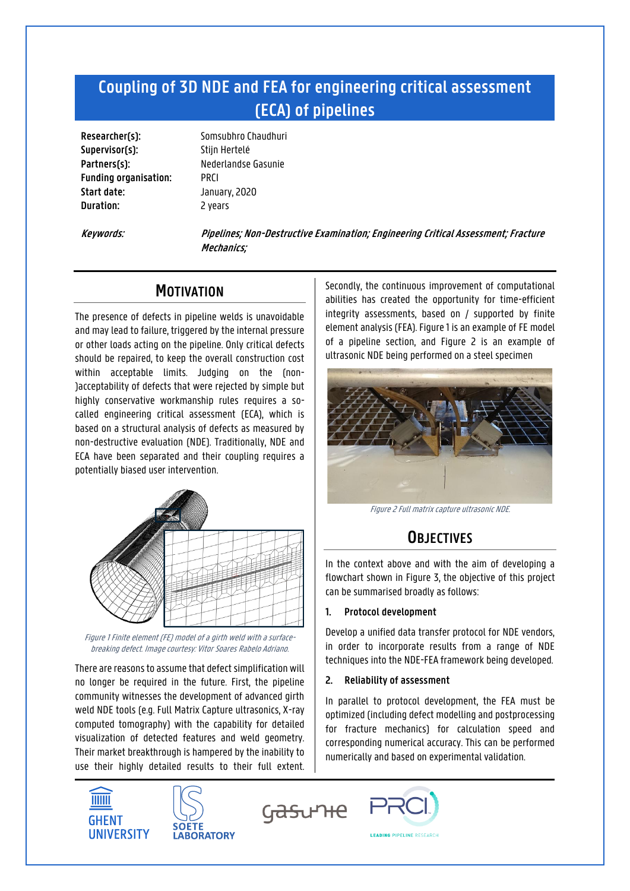# **Coupling of 3D NDE and FEA for engineering critical assessment (ECA) of pipelines**

**Supervisor(s):** Stijn Hertelé Partners(s): Nederlandse Gasunie **Funding organisation:** PRCI **Start date:** January, 2020 **Duration:** 2 years

**Researcher(s):** Somsubhro Chaudhuri

**Keywords: Pipelines; Non-Destructive Examination; Engineering Critical Assessment; Fracture Mechanics;**

## **MOTIVATION**

The presence of defects in pipeline welds is unavoidable and may lead to failure, triggered by the internal pressure or other loads acting on the pipeline. Only critical defects should be repaired, to keep the overall construction cost within acceptable limits. Judging on the (non- )acceptability of defects that were rejected by simple but highly conservative workmanship rules requires a socalled engineering critical assessment (ECA), which is based on a structural analysis of defects as measured by non-destructive evaluation (NDE). Traditionally, NDE and ECA have been separated and their coupling requires a potentially biased user intervention.



Figure 1 Finite element (FE) model of a girth weld with a surfacebreaking defect. Image courtesy: Vitor Soares Rabelo Adriano.

There are reasons to assume that defect simplification will no longer be required in the future. First, the pipeline community witnesses the development of advanced girth weld NDE tools (e.g. Full Matrix Capture ultrasonics, X-ray computed tomography) with the capability for detailed visualization of detected features and weld geometry. Their market breakthrough is hampered by the inability to use their highly detailed results to their full extent.





Secondly, the continuous improvement of computational abilities has created the opportunity for time-efficient integrity assessments, based on / supported by finite element analysis (FEA). Figure 1 is an example of FE model of a pipeline section, and Figure 2 is an example of ultrasonic NDE being performed on a steel specimen



Figure 2 Full matrix capture ultrasonic NDE.

# **OBJECTIVES**

In the context above and with the aim of developing a flowchart shown in Figure 3, the objective of this project can be summarised broadly as follows:

### **1. Protocol development**

Develop a unified data transfer protocol for NDE vendors, in order to incorporate results from a range of NDE techniques into the NDE-FEA framework being developed.

### **2. Reliability of assessment**

In parallel to protocol development, the FEA must be optimized (including defect modelling and postprocessing for fracture mechanics) for calculation speed and corresponding numerical accuracy. This can be performed numerically and based on experimental validation.